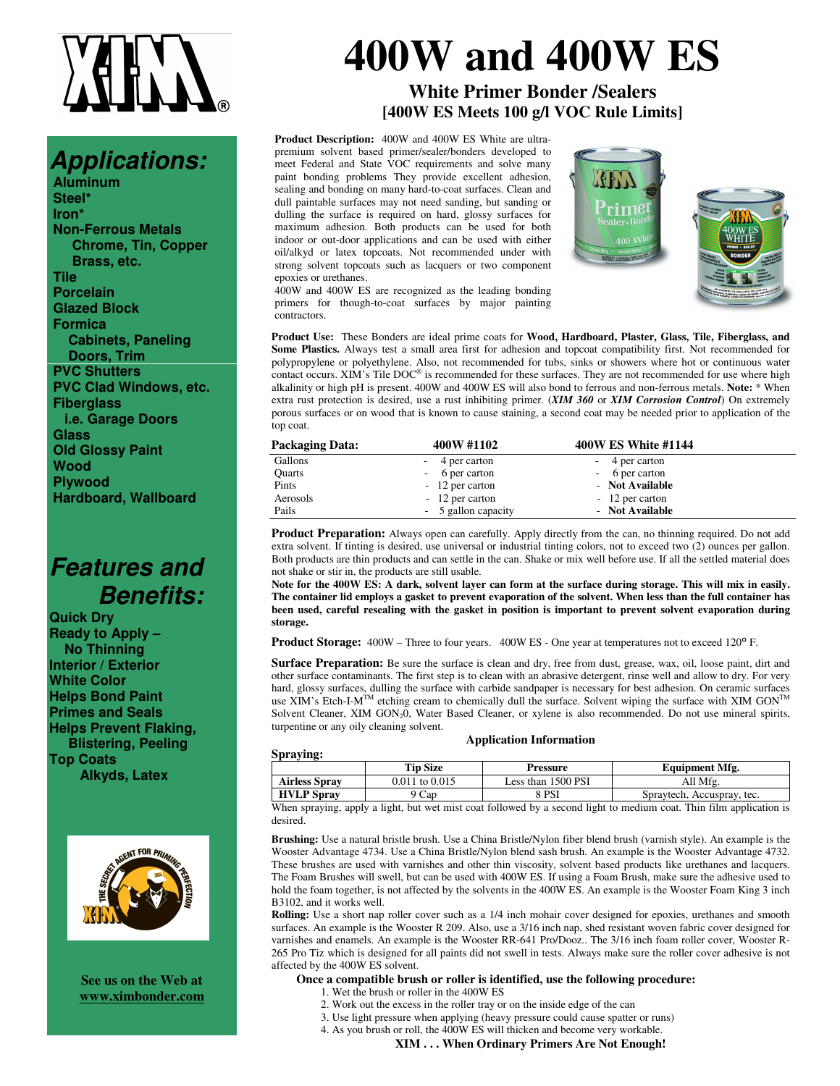## *Applications:*

**Aluminum Steel\* Iron\* Non-Ferrous Metals Chrome, Tin, Copper Brass, etc. Tile Porcelain Glazed Block Formica Cabinets, Paneling Doors, Trim PVC Shutters PVC Clad Windows, etc. Fiberglass i.e. Garage Doors Glass Old Glossy Paint Wood Plywood Hardboard, Wallboard**

## *Features and Benefits:*

**Quick Dry Ready to Apply – No Thinning Interior / Exterior White Color Helps Bond Paint Primes and Seals Helps Prevent Flaking, Blistering, Peeling Top Coats Alkyds, Latex**



**See us on the Web at www.ximbonder.com**

# **400W and 400W ES**

## **White Primer Bonder /Sealers [400W ES Meets 100 g/l VOC Rule Limits]**

**Product Description:** 400W and 400W ES White are ultrapremium solvent based primer/sealer/bonders developed to meet Federal and State VOC requirements and solve many paint bonding problems They provide excellent adhesion, sealing and bonding on many hard-to-coat surfaces. Clean and dull paintable surfaces may not need sanding, but sanding or dulling the surface is required on hard, glossy surfaces for maximum adhesion. Both products can be used for both indoor or out-door applications and can be used with either oil/alkyd or latex topcoats. Not recommended under with strong solvent topcoats such as lacquers or two component epoxies or urethanes.





400W and 400W ES are recognized as the leading bonding primers for though-to-coat surfaces by major painting contractors.

**Product Use:** These Bonders are ideal prime coats for **Wood, Hardboard, Plaster, Glass, Tile, Fiberglass, and Some Plastics.** Always test a small area first for adhesion and topcoat compatibility first. Not recommended for polypropylene or polyethylene. Also, not recommended for tubs, sinks or showers where hot or continuous water contact occurs. XIM's Tile  $DOC^{\circ}$  is recommended for these surfaces. They are not recommended for use where high alkalinity or high pH is present. 400W and 400W ES will also bond to ferrous and non-ferrous metals. **Note:** \* When extra rust protection is desired, use a rust inhibiting primer. (*XIM 360* or *XIM Corrosion Control*) On extremely porous surfaces or on wood that is known to cause staining, a second coat may be needed prior to application of the top coat.

| Packaging Data: | 400W #1102          | 400W ES White #1144 |  |
|-----------------|---------------------|---------------------|--|
| Gallons         | - 4 per carton      | - 4 per carton      |  |
| Quarts          | - 6 per carton      | - 6 per carton      |  |
| Pints           | - 12 per carton     | - Not Available     |  |
| Aerosols        | - 12 per carton     | - 12 per carton     |  |
| Pails           | - 5 gallon capacity | - Not Available     |  |

**Product Preparation:** Always open can carefully. Apply directly from the can, no thinning required. Do not add extra solvent. If tinting is desired, use universal or industrial tinting colors, not to exceed two (2) ounces per gallon. Both products are thin products and can settle in the can. Shake or mix well before use. If all the settled material does not shake or stir in, the products are still usable.

Note for the 400W ES: A dark, solvent layer can form at the surface during storage. This will mix in easily. The container lid employs a gasket to prevent evaporation of the solvent. When less than the full container has **been used, careful resealing with the gasket in position is important to prevent solvent evaporation during storage.**

**Product Storage:** 400W – Three to four years. 400W ES - One year at temperatures not to exceed 120° F.

**Surface Preparation:** Be sure the surface is clean and dry, free from dust, grease, wax, oil, loose paint, dirt and other surface contaminants. The first step is to clean with an abrasive detergent, rinse well and allow to dry. For very hard, glossy surfaces, dulling the surface with carbide sandpaper is necessary for best adhesion. On ceramic surfaces<br>use XIM's Etch-I-M<sup>TM</sup> etching cream to chemically dull the surface. Solvent wiping the surface with XIM Solvent Cleaner, XIM GON<sub>2</sub>0, Water Based Cleaner, or xylene is also recommended. Do not use mineral spirits, turpentine or any oily cleaning solvent.

### **Spraying:**

| praying:             |                 |                    |                            |
|----------------------|-----------------|--------------------|----------------------------|
|                      | <b>Tip Size</b> | Pressure           | <b>Equipment Mfg.</b>      |
| <b>Airless Spray</b> | 0.011 to 0.015  | Less than 1500 PSI | All Mfg.                   |
| <b>HVLP</b> Spray    | $^\circ$ Cap    | 8 PSI              | Spraytech, Accuspray, tec. |
|                      |                 |                    |                            |

**Application Information**

When spraying, apply a light, but wet mist coat followed by a second light to medium coat. Thin film application is desired.

**Brushing:** Use a natural bristle brush. Use a China Bristle/Nylon fiber blend brush (varnish style). An example is the Wooster Advantage 4734. Use a China Bristle/Nylon blend sash brush. An example is the Wooster Advantage 4732. These brushes are used with varnishes and other thin viscosity, solvent based products like urethanes and lacquers. The Foam Brushes will swell, but can be used with 400W ES. If using a Foam Brush, make sure the adhesive used to hold the foam together, is not affected by the solvents in the 400W ES. An example is the Wooster Foam King 3 inch B3102, and it works well.

**Rolling:** Use a short nap roller cover such as a 1/4 inch mohair cover designed for epoxies, urethanes and smooth surfaces. An example is the Wooster R 209. Also, use a 3/16 inch nap, shed resistant woven fabric cover designed for varnishes and enamels. An example is the Wooster RR-641 Pro/Dooz.. The 3/16 inch foam roller cover, Wooster R-265 Pro Tiz which is designed for all paints did not swell in tests. Always make sure the roller cover adhesive is not affected by the 400W ES solvent.

### **Once a compatible brush or roller is identified, use the following procedure:**

- 1. Wet the brush or roller in the 400W ES
- 2. Work out the excess in the roller tray or on the inside edge of the can
- 3. Use light pressure when applying (heavy pressure could cause spatter or runs)
- 4. As you brush or roll, the 400W ES will thicken and become very workable.

**XIM . . . When Ordinary Primers Are Not Enough!**